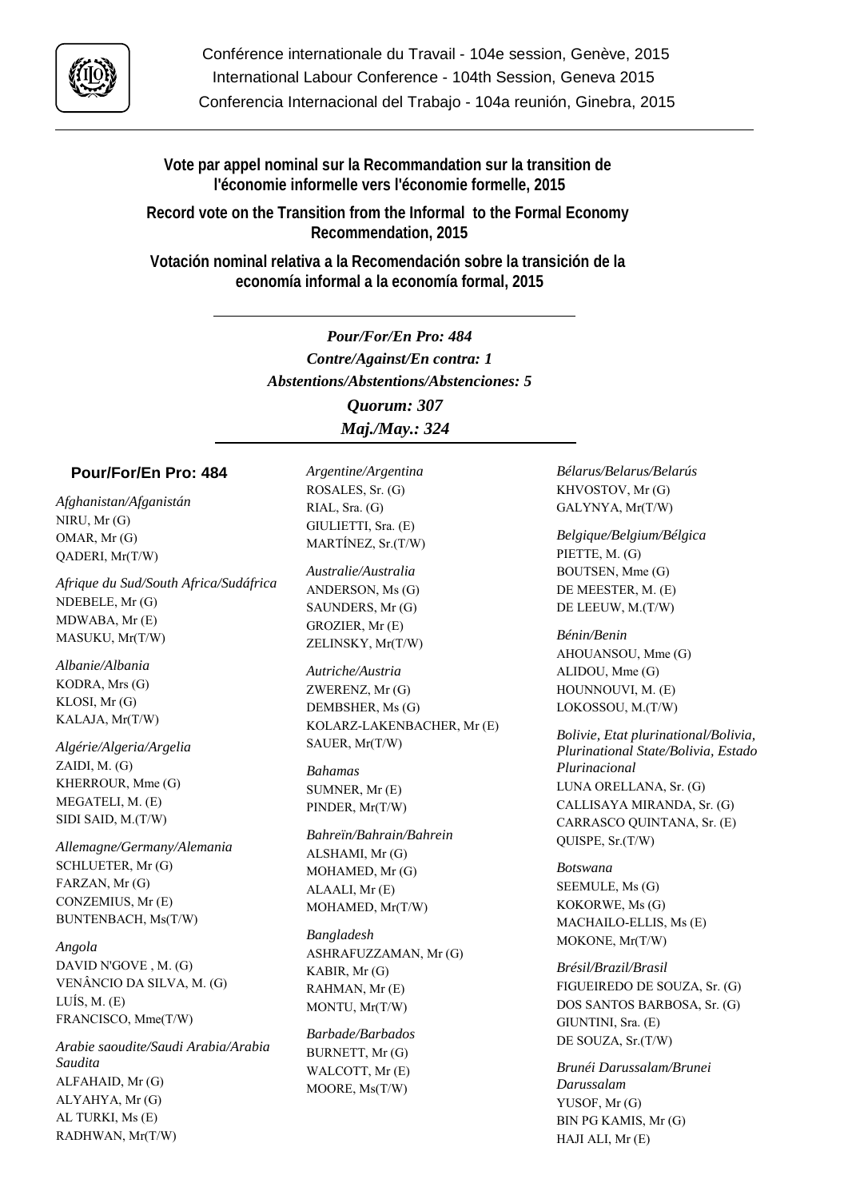

Conférence internationale du Travail - 104e session, Genève, 2015 International Labour Conference - 104th Session, Geneva 2015 Conferencia Internacional del Trabajo - 104a reunión, Ginebra, 2015

**Vote par appel nominal sur la Recommandation sur la transition de l'économie informelle vers l'économie formelle, 2015**

**Record vote on the Transition from the Informal to the Formal Economy Recommendation, 2015**

**Votación nominal relativa a la Recomendación sobre la transición de la economía informal a la economía formal, 2015**

> *Pour/For/En Pro: 484 Contre/Against/En contra: 1 Abstentions/Abstentions/Abstenciones: 5 Quorum: 307*

*Maj./May.: 324*

## **Pour/For/En Pro: 484**

*Afghanistan/Afganistán* NIRU, Mr (G) OMAR, Mr (G) QADERI, Mr(T/W)

*Afrique du Sud/South Africa/Sudáfrica* NDEBELE, Mr (G) MDWABA, Mr (E) MASUKU, Mr(T/W)

*Albanie/Albania* KODRA, Mrs (G) KLOSI, Mr (G) KALAJA, Mr(T/W)

*Algérie/Algeria/Argelia* ZAIDI, M. (G) KHERROUR, Mme (G) MEGATELI, M. (E) SIDI SAID, M.(T/W)

*Allemagne/Germany/Alemania* SCHLUETER, Mr (G) FARZAN, Mr (G) CONZEMIUS, Mr (E) BUNTENBACH, Ms(T/W)

*Angola* DAVID N'GOVE , M. (G) VENÂNCIO DA SILVA, M. (G) LUÍS, M. (E) FRANCISCO, Mme(T/W)

*Arabie saoudite/Saudi Arabia/Arabia Saudita* ALFAHAID, Mr (G) ALYAHYA, Mr (G) AL TURKI, Ms (E) RADHWAN, Mr(T/W)

*Argentine/Argentina* ROSALES, Sr. (G) RIAL, Sra. (G) GIULIETTI, Sra. (E) MARTÍNEZ, Sr.(T/W)

*Australie/Australia* ANDERSON, Ms (G) SAUNDERS, Mr (G) GROZIER, Mr (E) ZELINSKY, Mr(T/W)

*Autriche/Austria* ZWERENZ, Mr (G) DEMBSHER, Ms (G) KOLARZ-LAKENBACHER, Mr (E) SAUER, Mr(T/W)

*Bahamas* SUMNER, Mr (E) PINDER, Mr(T/W)

*Bahreïn/Bahrain/Bahrein* ALSHAMI, Mr (G) MOHAMED, Mr (G) ALAALI, Mr (E) MOHAMED, Mr(T/W)

*Bangladesh* ASHRAFUZZAMAN, Mr (G) KABIR, Mr (G) RAHMAN, Mr (E) MONTU, Mr(T/W)

*Barbade/Barbados* BURNETT, Mr (G) WALCOTT, Mr (E) MOORE, Ms(T/W)

*Bélarus/Belarus/Belarús* KHVOSTOV, Mr (G) GALYNYA, Mr(T/W)

*Belgique/Belgium/Bélgica* PIETTE, M. (G) BOUTSEN, Mme (G) DE MEESTER, M. (E) DE LEEUW, M.(T/W)

*Bénin/Benin* AHOUANSOU, Mme (G) ALIDOU, Mme (G) HOUNNOUVI, M. (E) LOKOSSOU, M.(T/W)

*Bolivie, Etat plurinational/Bolivia, Plurinational State/Bolivia, Estado Plurinacional* LUNA ORELLANA, Sr. (G) CALLISAYA MIRANDA, Sr. (G) CARRASCO QUINTANA, Sr. (E) QUISPE, Sr.(T/W)

*Botswana* SEEMULE, Ms (G) KOKORWE, Ms (G) MACHAILO-ELLIS, Ms (E) MOKONE, Mr(T/W)

*Brésil/Brazil/Brasil* FIGUEIREDO DE SOUZA, Sr. (G) DOS SANTOS BARBOSA, Sr. (G) GIUNTINI, Sra. (E) DE SOUZA, Sr.(T/W)

*Brunéi Darussalam/Brunei Darussalam* YUSOF, Mr (G) BIN PG KAMIS, Mr (G) HAJI ALI, Mr (E)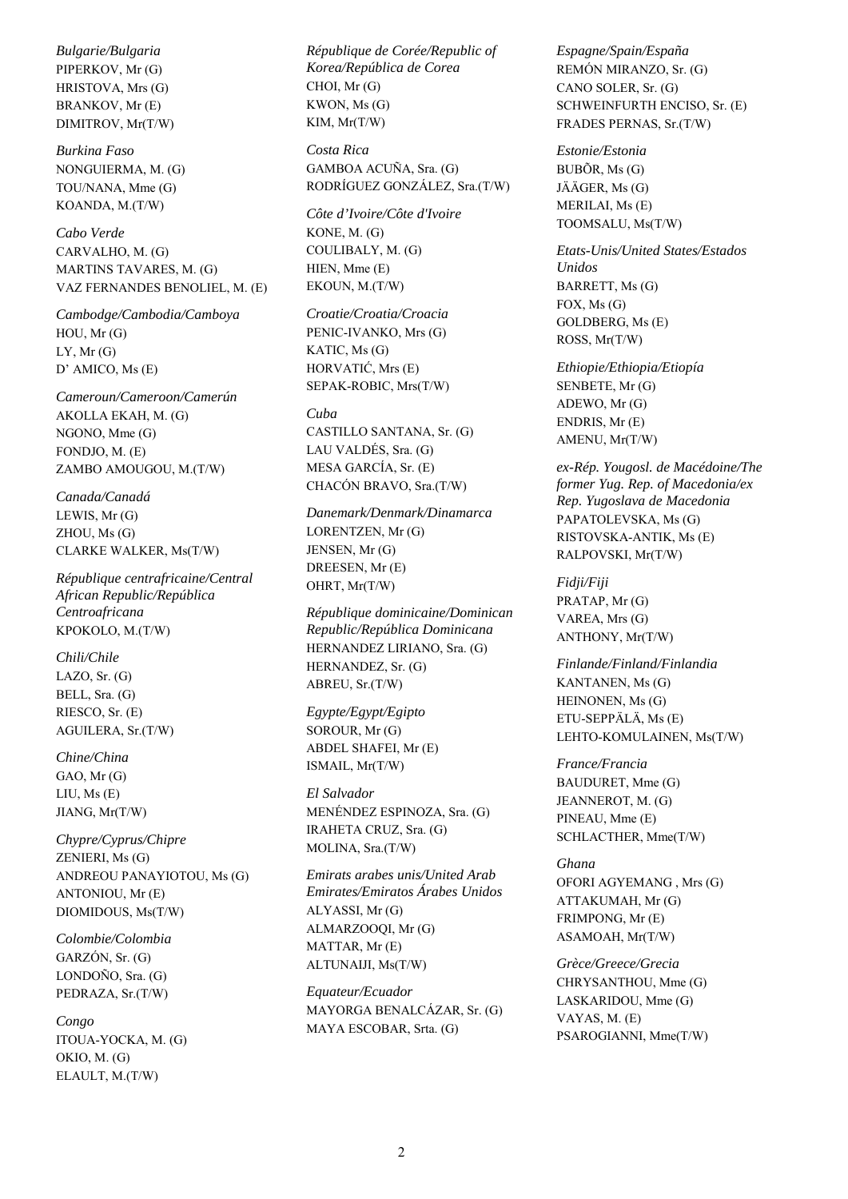*Bulgarie/Bulgaria* PIPERKOV, Mr (G) HRISTOVA, Mrs (G) BRANKOV, Mr (E) DIMITROV, Mr(T/W)

*Burkina Faso* NONGUIERMA, M. (G) TOU/NANA, Mme (G) KOANDA, M.(T/W)

*Cabo Verde* CARVALHO, M. (G) MARTINS TAVARES, M. (G) VAZ FERNANDES BENOLIEL, M. (E)

*Cambodge/Cambodia/Camboya* HOU, Mr (G) LY, Mr (G) D' AMICO, Ms (E)

*Cameroun/Cameroon/Camerún* AKOLLA EKAH, M. (G) NGONO, Mme (G) FONDJO, M. (E) ZAMBO AMOUGOU, M.(T/W)

*Canada/Canadá* LEWIS, Mr (G) ZHOU, Ms (G) CLARKE WALKER, Ms(T/W)

*République centrafricaine/Central African Republic/República Centroafricana* KPOKOLO, M.(T/W)

*Chili/Chile* LAZO, Sr. (G) BELL, Sra. (G) RIESCO, Sr. (E) AGUILERA, Sr.(T/W)

*Chine/China* GAO, Mr (G) LIU, Ms (E) JIANG, Mr(T/W)

*Chypre/Cyprus/Chipre* ZENIERI, Ms (G) ANDREOU PANAYIOTOU, Ms (G) ANTONIOU, Mr (E) DIOMIDOUS, Ms(T/W)

*Colombie/Colombia* GARZÓN, Sr. (G) LONDOÑO, Sra. (G) PEDRAZA, Sr.(T/W)

*Congo* ITOUA-YOCKA, M. (G) OKIO, M. (G) ELAULT, M.(T/W)

*République de Corée/Republic of Korea/República de Corea* CHOI, Mr (G) KWON, Ms (G) KIM, Mr(T/W)

*Costa Rica* GAMBOA ACUÑA, Sra. (G) RODRÍGUEZ GONZÁLEZ, Sra.(T/W)

*Côte d'Ivoire/Côte d'Ivoire* KONE, M. (G) COULIBALY, M. (G) HIEN, Mme (E) EKOUN, M.(T/W)

*Croatie/Croatia/Croacia* PENIC-IVANKO, Mrs (G) KATIC, Ms (G) HORVATIĆ, Mrs (E) SEPAK-ROBIC, Mrs(T/W)

## *Cuba*

CASTILLO SANTANA, Sr. (G) LAU VALDÉS, Sra. (G) MESA GARCÍA, Sr. (E) CHACÓN BRAVO, Sra.(T/W)

*Danemark/Denmark/Dinamarca* LORENTZEN, Mr (G) JENSEN, Mr (G) DREESEN, Mr (E) OHRT, Mr(T/W)

*République dominicaine/Dominican Republic/República Dominicana* HERNANDEZ LIRIANO, Sra. (G) HERNANDEZ, Sr. (G) ABREU, Sr.(T/W)

*Egypte/Egypt/Egipto* SOROUR, Mr (G) ABDEL SHAFEI, Mr (E) ISMAIL, Mr(T/W)

*El Salvador* MENÉNDEZ ESPINOZA, Sra. (G) IRAHETA CRUZ, Sra. (G) MOLINA, Sra.(T/W)

*Emirats arabes unis/United Arab Emirates/Emiratos Árabes Unidos* ALYASSI, Mr (G) ALMARZOOQI, Mr (G) MATTAR, Mr (E) ALTUNAIJI, Ms(T/W)

*Equateur/Ecuador* MAYORGA BENALCÁZAR, Sr. (G) MAYA ESCOBAR, Srta. (G)

*Espagne/Spain/España* REMÓN MIRANZO, Sr. (G) CANO SOLER, Sr. (G) SCHWEINFURTH ENCISO, Sr. (E) FRADES PERNAS, Sr.(T/W)

*Estonie/Estonia* BUBÕR, Ms (G) JÄÄGER, Ms (G) MERILAI, Ms (E) TOOMSALU, Ms(T/W)

*Etats-Unis/United States/Estados Unidos* BARRETT, Ms (G) FOX, Ms (G) GOLDBERG, Ms (E) ROSS, Mr(T/W)

*Ethiopie/Ethiopia/Etiopía* SENBETE, Mr (G) ADEWO, Mr (G) ENDRIS, Mr (E) AMENU, Mr(T/W)

*ex-Rép. Yougosl. de Macédoine/The former Yug. Rep. of Macedonia/ex Rep. Yugoslava de Macedonia* PAPATOLEVSKA, Ms (G) RISTOVSKA-ANTIK, Ms (E) RALPOVSKI, Mr(T/W)

*Fidji/Fiji* PRATAP, Mr (G) VAREA, Mrs (G) ANTHONY, Mr(T/W)

*Finlande/Finland/Finlandia* KANTANEN, Ms (G) HEINONEN, Ms (G) ETU-SEPPÄLÄ, Ms (E) LEHTO-KOMULAINEN, Ms(T/W)

*France/Francia* BAUDURET, Mme (G) JEANNEROT, M. (G) PINEAU, Mme (E) SCHLACTHER, Mme(T/W)

*Ghana* OFORI AGYEMANG , Mrs (G) ATTAKUMAH, Mr (G) FRIMPONG, Mr (E) ASAMOAH, Mr(T/W)

*Grèce/Greece/Grecia* CHRYSANTHOU, Mme (G) LASKARIDOU, Mme (G) VAYAS, M. (E) PSAROGIANNI, Mme(T/W)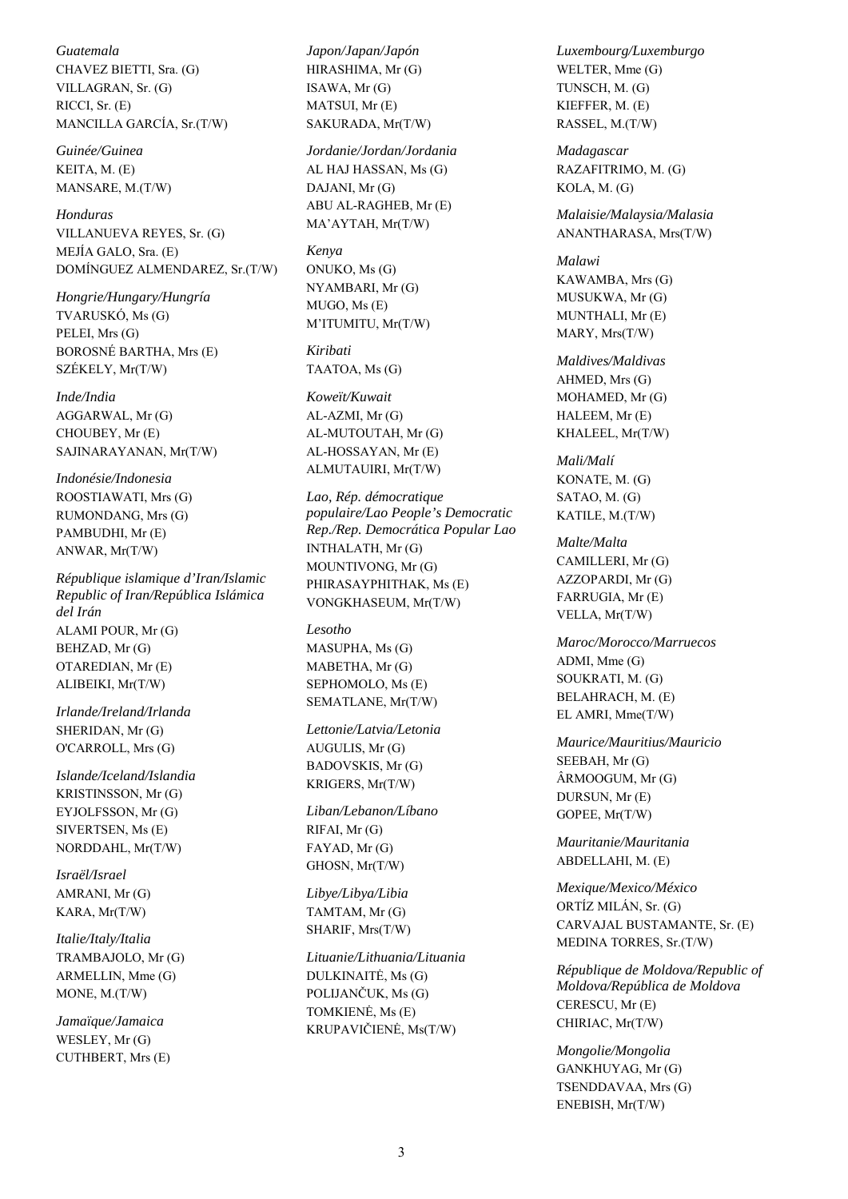*Guatemala* CHAVEZ BIETTI, Sra. (G) VILLAGRAN, Sr. (G) RICCI, Sr. (E) MANCILLA GARCÍA, Sr.(T/W)

*Guinée/Guinea* KEITA, M. (E) MANSARE, M.(T/W)

*Honduras* VILLANUEVA REYES, Sr. (G) MEJÍA GALO, Sra. (E) DOMÍNGUEZ ALMENDAREZ, Sr.(T/W)

*Hongrie/Hungary/Hungría* TVARUSKÓ, Ms (G) PELEI, Mrs (G) BOROSNÉ BARTHA, Mrs (E) SZÉKELY, Mr(T/W)

*Inde/India* AGGARWAL, Mr (G) CHOUBEY, Mr (E) SAJINARAYANAN, Mr(T/W)

*Indonésie/Indonesia* ROOSTIAWATI, Mrs (G) RUMONDANG, Mrs (G) PAMBUDHI, Mr (E) ANWAR, Mr(T/W)

*République islamique d'Iran/Islamic Republic of Iran/República Islámica del Irán* ALAMI POUR, Mr (G) BEHZAD, Mr (G) OTAREDIAN, Mr (E) ALIBEIKI, Mr(T/W)

*Irlande/Ireland/Irlanda* SHERIDAN, Mr (G) O'CARROLL, Mrs (G)

*Islande/Iceland/Islandia* KRISTINSSON, Mr (G) EYJOLFSSON, Mr (G) SIVERTSEN, Ms (E) NORDDAHL, Mr(T/W)

*Israël/Israel* AMRANI, Mr (G) KARA, Mr(T/W)

*Italie/Italy/Italia* TRAMBAJOLO, Mr (G) ARMELLIN, Mme (G) MONE, M.(T/W)

*Jamaïque/Jamaica* WESLEY, Mr (G) CUTHBERT, Mrs (E) *Japon/Japan/Japón* HIRASHIMA, Mr (G) ISAWA, Mr (G) MATSUI, Mr (E) SAKURADA, Mr(T/W)

*Jordanie/Jordan/Jordania* AL HAJ HASSAN, Ms (G) DAJANI, Mr (G) ABU AL-RAGHEB, Mr (E) MA'AYTAH, Mr(T/W)

*Kenya* ONUKO, Ms (G) NYAMBARI, Mr (G) MUGO, Ms (E) M'ITUMITU, Mr(T/W)

*Kiribati* TAATOA, Ms (G)

*Koweït/Kuwait* AL-AZMI, Mr (G) AL-MUTOUTAH, Mr (G) AL-HOSSAYAN, Mr (E) ALMUTAUIRI, Mr(T/W)

*Lao, Rép. démocratique populaire/Lao People's Democratic Rep./Rep. Democrática Popular Lao* INTHALATH, Mr (G) MOUNTIVONG, Mr (G) PHIRASAYPHITHAK, Ms (E) VONGKHASEUM, Mr(T/W)

*Lesotho* MASUPHA, Ms (G) MABETHA, Mr (G) SEPHOMOLO, Ms (E) SEMATLANE, Mr(T/W)

*Lettonie/Latvia/Letonia* AUGULIS, Mr (G) BADOVSKIS, Mr (G) KRIGERS, Mr(T/W)

*Liban/Lebanon/Líbano* RIFAI, Mr (G) FAYAD, Mr (G) GHOSN, Mr(T/W)

*Libye/Libya/Libia* TAMTAM, Mr (G) SHARIF, Mrs(T/W)

*Lituanie/Lithuania/Lituania* DULKINAITĖ, Ms (G) POLIJANČUK, Ms (G) TOMKIENĖ, Ms (E) KRUPAVIČIENĖ, Ms(T/W)

*Luxembourg/Luxemburgo* WELTER, Mme (G) TUNSCH, M. (G) KIEFFER, M. (E) RASSEL, M.(T/W)

*Madagascar* RAZAFITRIMO, M. (G) KOLA, M. (G)

*Malaisie/Malaysia/Malasia* ANANTHARASA, Mrs(T/W)

*Malawi* KAWAMBA, Mrs (G) MUSUKWA, Mr (G) MUNTHALI, Mr (E) MARY, Mrs(T/W)

*Maldives/Maldivas* AHMED, Mrs (G) MOHAMED, Mr (G) HALEEM, Mr (E) KHALEEL, Mr(T/W)

*Mali/Malí* KONATE, M. (G) SATAO, M. (G) KATILE, M.(T/W)

*Malte/Malta* CAMILLERI, Mr (G) AZZOPARDI, Mr (G) FARRUGIA, Mr (E) VELLA, Mr(T/W)

*Maroc/Morocco/Marruecos* ADMI, Mme (G) SOUKRATI, M. (G) BELAHRACH, M. (E) EL AMRI, Mme(T/W)

*Maurice/Mauritius/Mauricio* SEEBAH, Mr (G) ÂRMOOGUM, Mr (G) DURSUN, Mr (E) GOPEE, Mr(T/W)

*Mauritanie/Mauritania* ABDELLAHI, M. (E)

*Mexique/Mexico/México* ORTÍZ MILÁN, Sr. (G) CARVAJAL BUSTAMANTE, Sr. (E) MEDINA TORRES, Sr.(T/W)

*République de Moldova/Republic of Moldova/República de Moldova*  CERESCU, Mr (E) CHIRIAC, Mr(T/W)

*Mongolie/Mongolia* GANKHUYAG, Mr (G) TSENDDAVAA, Mrs (G) ENEBISH, Mr(T/W)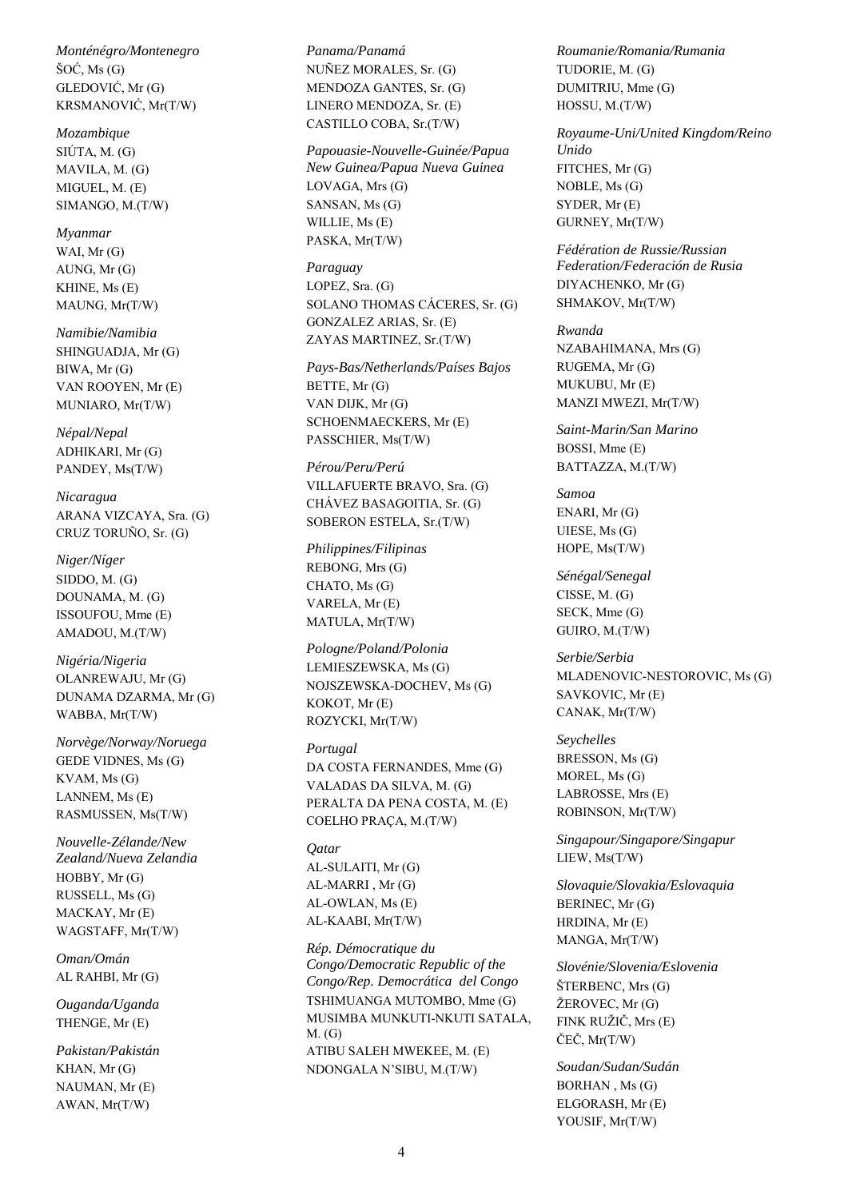*Monténégro/Montenegro* ŠOĆ, Ms (G) GLEDOVIĆ, Mr (G) KRSMANOVIĆ, Mr(T/W)

*Mozambique* SIÚTA, M. (G) MAVILA, M. (G) MIGUEL, M. (E) SIMANGO, M.(T/W)

*Myanmar* WAI, Mr (G) AUNG, Mr (G) KHINE, Ms (E) MAUNG, Mr(T/W)

*Namibie/Namibia* SHINGUADJA, Mr (G) BIWA, Mr (G) VAN ROOYEN, Mr (E) MUNIARO, Mr(T/W)

*Népal/Nepal* ADHIKARI, Mr (G) PANDEY, Ms(T/W)

*Nicaragua* ARANA VIZCAYA, Sra. (G) CRUZ TORUÑO, Sr. (G)

*Niger/Níger* SIDDO, M. (G) DOUNAMA, M. (G) ISSOUFOU, Mme (E) AMADOU, M.(T/W)

*Nigéria/Nigeria* OLANREWAJU, Mr (G) DUNAMA DZARMA, Mr (G) WABBA, Mr(T/W)

*Norvège/Norway/Noruega* GEDE VIDNES, Ms (G) KVAM, Ms (G) LANNEM, Ms (E) RASMUSSEN, Ms(T/W)

*Nouvelle-Zélande/New Zealand/Nueva Zelandia* HOBBY, Mr (G) RUSSELL, Ms (G) MACKAY, Mr (E) WAGSTAFF, Mr(T/W)

*Oman/Omán* AL RAHBI, Mr (G)

*Ouganda/Uganda* THENGE, Mr (E)

*Pakistan/Pakistán* KHAN, Mr (G) NAUMAN, Mr (E) AWAN, Mr(T/W)

*Panama/Panamá* NUÑEZ MORALES, Sr. (G) MENDOZA GANTES, Sr. (G) LINERO MENDOZA, Sr. (E) CASTILLO COBA, Sr.(T/W)

*Papouasie-Nouvelle-Guinée/Papua New Guinea/Papua Nueva Guinea*

LOVAGA, Mrs (G) SANSAN, Ms (G) WILLIE, Ms (E) PASKA, Mr(T/W)

*Paraguay* LOPEZ, Sra. (G) SOLANO THOMAS CÁCERES, Sr. (G) GONZALEZ ARIAS, Sr. (E) ZAYAS MARTINEZ, Sr.(T/W)

*Pays-Bas/Netherlands/Países Bajos* BETTE, Mr (G) VAN DIJK, Mr (G) SCHOENMAECKERS, Mr (E) PASSCHIER, Ms(T/W)

*Pérou/Peru/Perú* VILLAFUERTE BRAVO, Sra. (G) CHÁVEZ BASAGOITIA, Sr. (G) SOBERON ESTELA, Sr.(T/W)

*Philippines/Filipinas* REBONG, Mrs (G) CHATO, Ms (G) VARELA, Mr (E) MATULA, Mr(T/W)

*Pologne/Poland/Polonia* LEMIESZEWSKA, Ms (G) NOJSZEWSKA-DOCHEV, Ms (G) KOKOT, Mr (E) ROZYCKI, Mr(T/W)

*Portugal* DA COSTA FERNANDES, Mme (G) VALADAS DA SILVA, M. (G) PERALTA DA PENA COSTA, M. (E) COELHO PRAÇA, M.(T/W)

*Qatar* AL-SULAITI, Mr (G) AL-MARRI , Mr (G) AL-OWLAN, Ms (E) AL-KAABI, Mr(T/W)

*Rép. Démocratique du Congo/Democratic Republic of the Congo/Rep. Democrática del Congo* TSHIMUANGA MUTOMBO, Mme (G) MUSIMBA MUNKUTI-NKUTI SATALA, M. (G) ATIBU SALEH MWEKEE, M. (E) NDONGALA N'SIBU, M.(T/W)

*Roumanie/Romania/Rumania* TUDORIE, M. (G) DUMITRIU, Mme (G) HOSSU, M.(T/W)

*Royaume-Uni/United Kingdom/Reino Unido* FITCHES, Mr (G) NOBLE, Ms (G) SYDER, Mr (E) GURNEY, Mr(T/W)

*Fédération de Russie/Russian Federation/Federación de Rusia* DIYACHENKO, Mr (G) SHMAKOV, Mr(T/W)

*Rwanda* NZABAHIMANA, Mrs (G) RUGEMA, Mr (G) MUKUBU, Mr (E) MANZI MWEZI, Mr(T/W)

*Saint-Marin/San Marino* BOSSI, Mme (E) BATTAZZA, M.(T/W)

*Samoa* ENARI, Mr (G) UIESE, Ms (G) HOPE, Ms(T/W)

*Sénégal/Senegal* CISSE, M. (G) SECK, Mme (G) GUIRO, M.(T/W)

*Serbie/Serbia* MLADENOVIC-NESTOROVIC, Ms (G) SAVKOVIC, Mr (E) CANAK, Mr(T/W)

*Seychelles* BRESSON, Ms (G) MOREL, Ms (G) LABROSSE, Mrs (E) ROBINSON, Mr(T/W)

*Singapour/Singapore/Singapur* LIEW, Ms(T/W)

*Slovaquie/Slovakia/Eslovaquia* BERINEC, Mr (G) HRDINA, Mr (E) MANGA, Mr(T/W)

*Slovénie/Slovenia/Eslovenia* ŠTERBENC, Mrs (G) ŽEROVEC, Mr (G) FINK RUŽIČ, Mrs (E) ČEČ, Mr(T/W)

*Soudan/Sudan/Sudán* BORHAN , Ms (G) ELGORASH, Mr (E) YOUSIF, Mr(T/W)